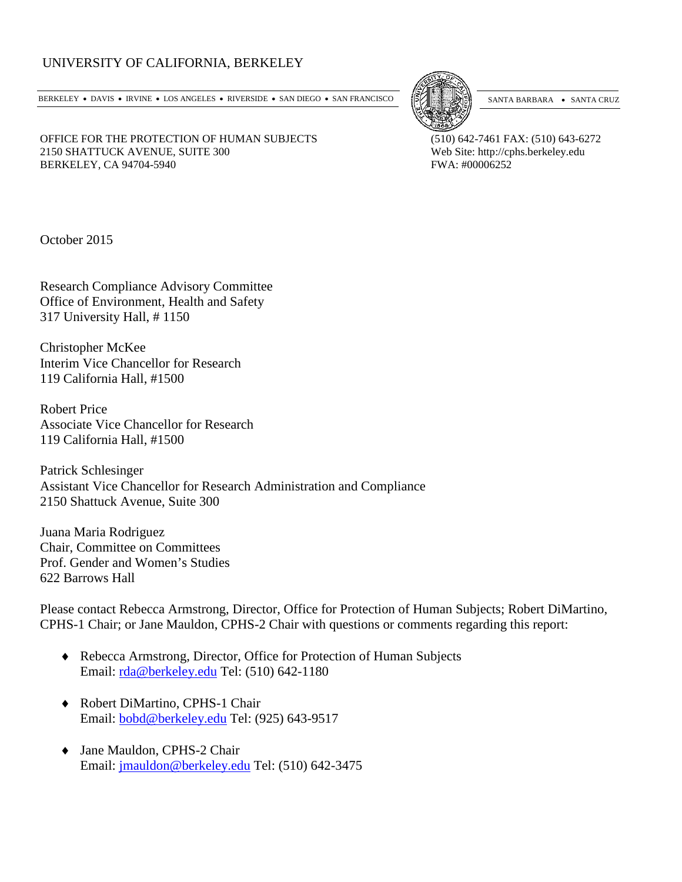# UNIVERSITY OF CALIFORNIA, BERKELEY

BERKELEY • DAVIS • IRVINE • LOS ANGELES • RIVERSIDE • SAN DIEGO • SAN FRANCISCO [5] SANTA BARBARA • SANTA CRUZ



OFFICE FOR THE PROTECTION OF HUMAN SUBJECTS (510) 642-7461 FAX: (510) 643-6272 2150 SHATTUCK AVENUE, SUITE 300<br>
BERKELEY, CA 94704-5940<br>
Web Site: http://cphs.berkeley.edu<br>
FWA: #00006252

October 2015

BERKELEY, CA 94704-5940

Research Compliance Advisory Committee Office of Environment, Health and Safety 317 University Hall, # 1150

Christopher McKee Interim Vice Chancellor for Research 119 California Hall, #1500

Robert Price Associate Vice Chancellor for Research 119 California Hall, #1500

Patrick Schlesinger Assistant Vice Chancellor for Research Administration and Compliance 2150 Shattuck Avenue, Suite 300

Juana Maria Rodriguez Chair, Committee on Committees Prof. Gender and Women's Studies 622 Barrows Hall

Please contact Rebecca Armstrong, Director, Office for Protection of Human Subjects; Robert DiMartino, CPHS-1 Chair; or Jane Mauldon, CPHS-2 Chair with questions or comments regarding this report:

- ♦ Rebecca Armstrong, Director, Office for Protection of Human Subjects Email: [rda@berkeley.edu](mailto:rda@berkeley.edu) Tel: (510) 642-1180
- ♦ Robert DiMartino, CPHS-1 Chair Email: [bobd@berkeley.edu](mailto:bobd@berkeley.edu) Tel: (925) 643-9517
- ♦ Jane Mauldon, CPHS-2 Chair Email: [jmauldon@berkeley.edu](mailto:jmauldon@berkeley.edu) Tel: (510) 642-3475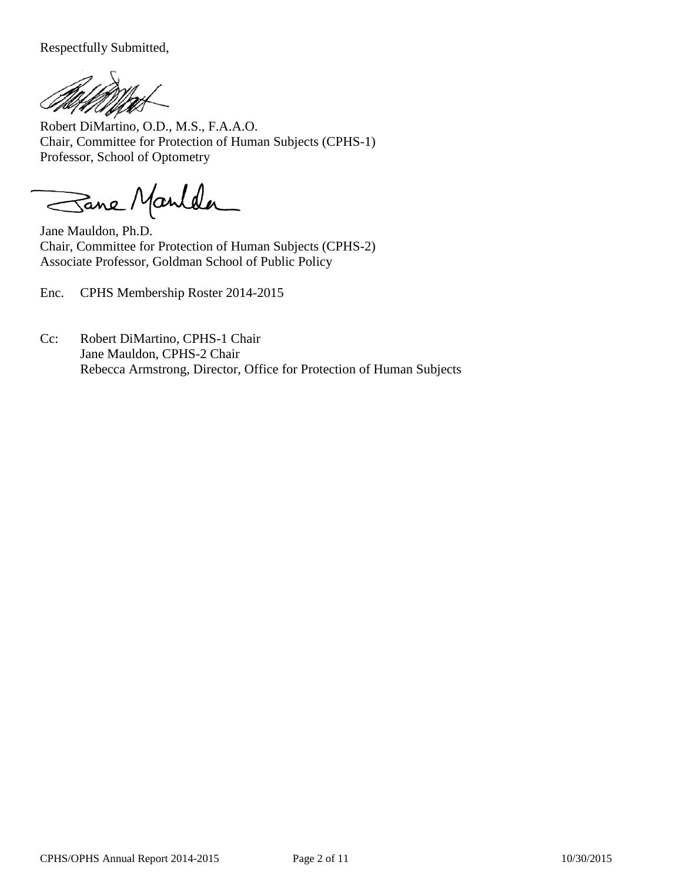Respectfully Submitted,

Robert DiMartino, O.D., M.S., F.A.A.O. Chair, Committee for Protection of Human Subjects (CPHS-1) Professor, School of Optometry

Sane Manlda

Jane Mauldon, Ph.D. Chair, Committee for Protection of Human Subjects (CPHS-2) Associate Professor, Goldman School of Public Policy

Enc. CPHS Membership Roster 2014-2015

Cc: Robert DiMartino, CPHS-1 Chair Jane Mauldon, CPHS-2 Chair Rebecca Armstrong, Director, Office for Protection of Human Subjects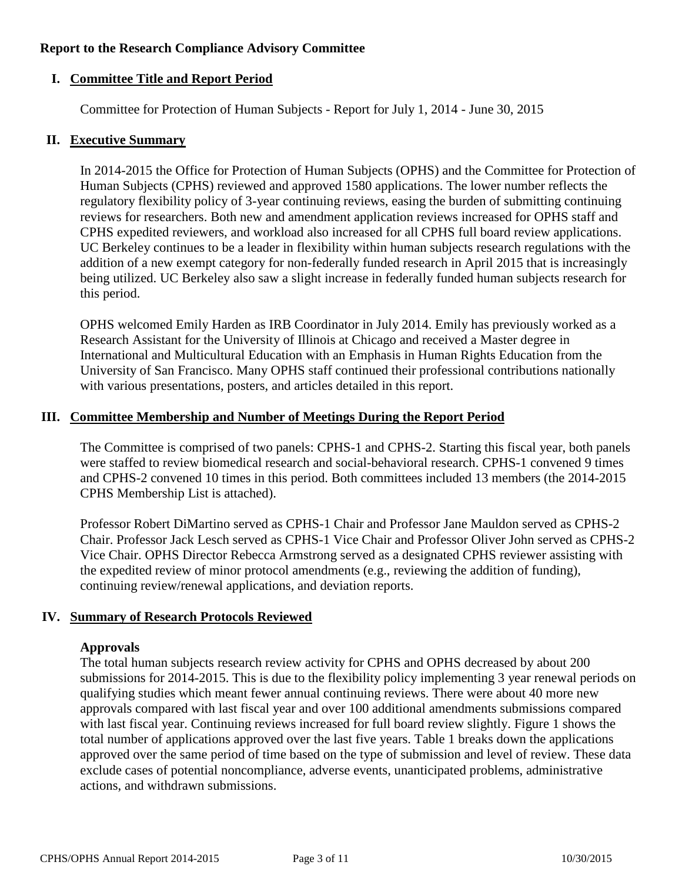#### **Report to the Research Compliance Advisory Committee**

#### **I. Committee Title and Report Period**

Committee for Protection of Human Subjects - Report for July 1, 2014 - June 30, 2015

#### **II. Executive Summary**

In 2014-2015 the Office for Protection of Human Subjects (OPHS) and the Committee for Protection of Human Subjects (CPHS) reviewed and approved 1580 applications. The lower number reflects the regulatory flexibility policy of 3-year continuing reviews, easing the burden of submitting continuing reviews for researchers. Both new and amendment application reviews increased for OPHS staff and CPHS expedited reviewers, and workload also increased for all CPHS full board review applications. UC Berkeley continues to be a leader in flexibility within human subjects research regulations with the addition of a new exempt category for non-federally funded research in April 2015 that is increasingly being utilized. UC Berkeley also saw a slight increase in federally funded human subjects research for this period.

OPHS welcomed Emily Harden as IRB Coordinator in July 2014. Emily has previously worked as a Research Assistant for the University of Illinois at Chicago and received a Master degree in International and Multicultural Education with an Emphasis in Human Rights Education from the University of San Francisco. Many OPHS staff continued their professional contributions nationally with various presentations, posters, and articles detailed in this report.

#### **III. Committee Membership and Number of Meetings During the Report Period**

The Committee is comprised of two panels: CPHS-1 and CPHS-2. Starting this fiscal year, both panels were staffed to review biomedical research and social-behavioral research. CPHS-1 convened 9 times and CPHS-2 convened 10 times in this period. Both committees included 13 members (the 2014-2015 CPHS Membership List is attached).

Professor Robert DiMartino served as CPHS-1 Chair and Professor Jane Mauldon served as CPHS-2 Chair. Professor Jack Lesch served as CPHS-1 Vice Chair and Professor Oliver John served as CPHS-2 Vice Chair. OPHS Director Rebecca Armstrong served as a designated CPHS reviewer assisting with the expedited review of minor protocol amendments (e.g., reviewing the addition of funding), continuing review/renewal applications, and deviation reports.

#### **IV. Summary of Research Protocols Reviewed**

#### **Approvals**

The total human subjects research review activity for CPHS and OPHS decreased by about 200 submissions for 2014-2015. This is due to the flexibility policy implementing 3 year renewal periods on qualifying studies which meant fewer annual continuing reviews. There were about 40 more new approvals compared with last fiscal year and over 100 additional amendments submissions compared with last fiscal year. Continuing reviews increased for full board review slightly. Figure 1 shows the total number of applications approved over the last five years. Table 1 breaks down the applications approved over the same period of time based on the type of submission and level of review. These data exclude cases of potential noncompliance, adverse events, unanticipated problems, administrative actions, and withdrawn submissions.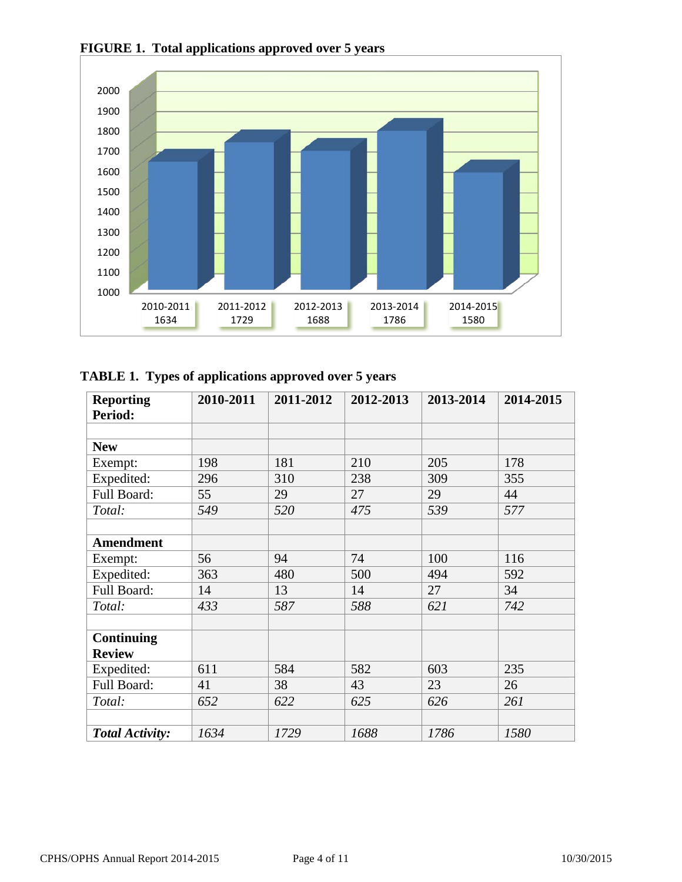

**FIGURE 1. Total applications approved over 5 years**

|  | TABLE 1. Types of applications approved over 5 years |  |
|--|------------------------------------------------------|--|
|  |                                                      |  |

| <b>Reporting</b>       | 2010-2011 | 2011-2012 | 2012-2013 | 2013-2014 | 2014-2015 |
|------------------------|-----------|-----------|-----------|-----------|-----------|
| Period:                |           |           |           |           |           |
|                        |           |           |           |           |           |
| <b>New</b>             |           |           |           |           |           |
| Exempt:                | 198       | 181       | 210       | 205       | 178       |
| Expedited:             | 296       | 310       | 238       | 309       | 355       |
| Full Board:            | 55        | 29        | 27        | 29        | 44        |
| Total:                 | 549       | 520       | 475       | 539       | 577       |
|                        |           |           |           |           |           |
| <b>Amendment</b>       |           |           |           |           |           |
| Exempt:                | 56        | 94        | 74        | 100       | 116       |
| Expedited:             | 363       | 480       | 500       | 494       | 592       |
| Full Board:            | 14        | 13        | 14        | 27        | 34        |
| Total:                 | 433       | 587       | 588       | 621       | 742       |
|                        |           |           |           |           |           |
| Continuing             |           |           |           |           |           |
| <b>Review</b>          |           |           |           |           |           |
| Expedited:             | 611       | 584       | 582       | 603       | 235       |
| Full Board:            | 41        | 38        | 43        | 23        | 26        |
| Total:                 | 652       | 622       | 625       | 626       | 261       |
|                        |           |           |           |           |           |
| <b>Total Activity:</b> | 1634      | 1729      | 1688      | 1786      | 1580      |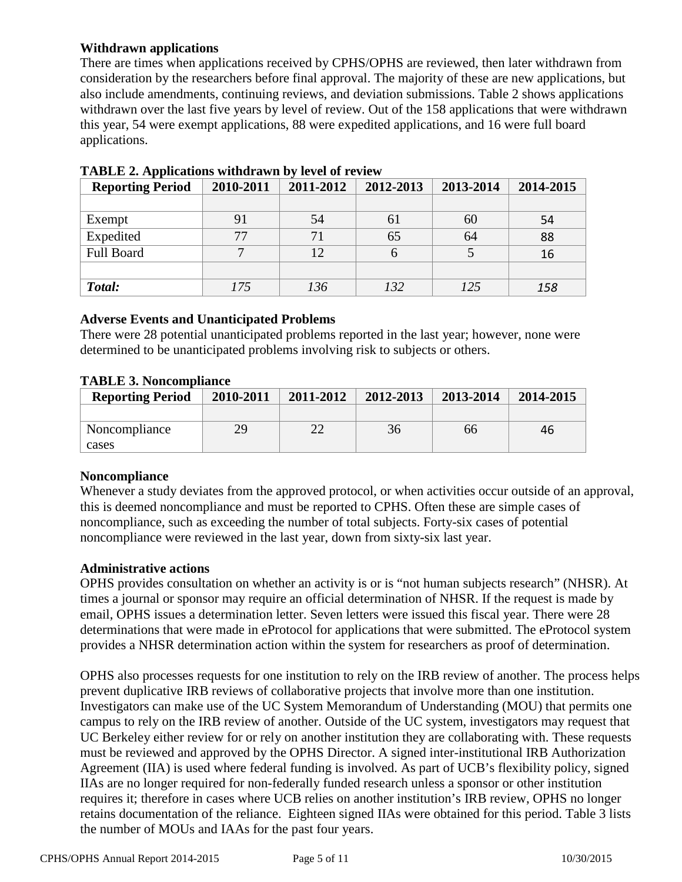# **Withdrawn applications**

There are times when applications received by CPHS/OPHS are reviewed, then later withdrawn from consideration by the researchers before final approval. The majority of these are new applications, but also include amendments, continuing reviews, and deviation submissions. Table 2 shows applications withdrawn over the last five years by level of review. Out of the 158 applications that were withdrawn this year, 54 were exempt applications, 88 were expedited applications, and 16 were full board applications.

| <b>Reporting Period</b> | 2010-2011 | 2011-2012 | 2012-2013 | 2013-2014 | 2014-2015 |
|-------------------------|-----------|-----------|-----------|-----------|-----------|
|                         |           |           |           |           |           |
| Exempt                  | 91        | 54        | 61        | 60        | 54        |
| Expedited               | 77        | 71        | 65        | 64        | 88        |
| <b>Full Board</b>       |           | 12        | b         |           | 16        |
|                         |           |           |           |           |           |
| Total:                  | 175       | 136       | 132       | 125       | 158       |

**TABLE 2. Applications withdrawn by level of review**

#### **Adverse Events and Unanticipated Problems**

There were 28 potential unanticipated problems reported in the last year; however, none were determined to be unanticipated problems involving risk to subjects or others.

| <b>TABLE 3. Noncompliance</b> |
|-------------------------------|
|                               |

| <b>Reporting Period</b> | 2010-2011 | 2011-2012 | 2012-2013 | 2013-2014 | 2014-2015 |
|-------------------------|-----------|-----------|-----------|-----------|-----------|
|                         |           |           |           |           |           |
| Noncompliance           | 29        |           | 36        | 66        | 46        |
| cases                   |           |           |           |           |           |

# **Noncompliance**

Whenever a study deviates from the approved protocol, or when activities occur outside of an approval, this is deemed noncompliance and must be reported to CPHS. Often these are simple cases of noncompliance, such as exceeding the number of total subjects. Forty-six cases of potential noncompliance were reviewed in the last year, down from sixty-six last year.

#### **Administrative actions**

OPHS provides consultation on whether an activity is or is "not human subjects research" (NHSR). At times a journal or sponsor may require an official determination of NHSR. If the request is made by email, OPHS issues a determination letter. Seven letters were issued this fiscal year. There were 28 determinations that were made in eProtocol for applications that were submitted. The eProtocol system provides a NHSR determination action within the system for researchers as proof of determination.

OPHS also processes requests for one institution to rely on the IRB review of another. The process helps prevent duplicative IRB reviews of collaborative projects that involve more than one institution. Investigators can make use of the UC System Memorandum of Understanding (MOU) that permits one campus to rely on the IRB review of another. Outside of the UC system, investigators may request that UC Berkeley either review for or rely on another institution they are collaborating with. These requests must be reviewed and approved by the OPHS Director. A signed inter-institutional IRB Authorization Agreement (IIA) is used where federal funding is involved. As part of UCB's flexibility policy, signed IIAs are no longer required for non-federally funded research unless a sponsor or other institution requires it; therefore in cases where UCB relies on another institution's IRB review, OPHS no longer retains documentation of the reliance. Eighteen signed IIAs were obtained for this period. Table 3 lists the number of MOUs and IAAs for the past four years.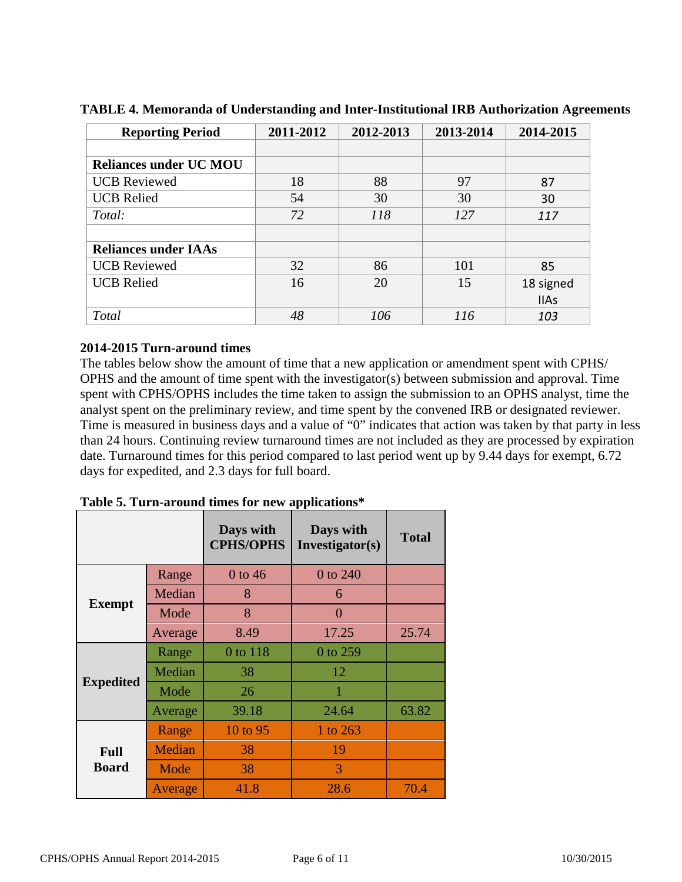| <b>Reporting Period</b>       | 2011-2012 | 2012-2013 | 2013-2014 | 2014-2015   |
|-------------------------------|-----------|-----------|-----------|-------------|
|                               |           |           |           |             |
| <b>Reliances under UC MOU</b> |           |           |           |             |
| <b>UCB</b> Reviewed           | 18        | 88        | 97        | 87          |
| <b>UCB Relied</b>             | 54        | 30        | 30        | 30          |
| Total:                        | 72        | 118       | 127       | 117         |
|                               |           |           |           |             |
| <b>Reliances under IAAs</b>   |           |           |           |             |
| <b>UCB</b> Reviewed           | 32        | 86        | 101       | 85          |
| <b>UCB Relied</b>             | 16        | 20        | 15        | 18 signed   |
|                               |           |           |           | <b>IIAs</b> |
| Total                         | 48        | 106       | 116       | 103         |

**TABLE 4. Memoranda of Understanding and Inter-Institutional IRB Authorization Agreements**

# **2014-2015 Turn-around times**

The tables below show the amount of time that a new application or amendment spent with CPHS/ OPHS and the amount of time spent with the investigator(s) between submission and approval. Time spent with CPHS/OPHS includes the time taken to assign the submission to an OPHS analyst, time the analyst spent on the preliminary review, and time spent by the convened IRB or designated reviewer. Time is measured in business days and a value of "0" indicates that action was taken by that party in less than 24 hours. Continuing review turnaround times are not included as they are processed by expiration date. Turnaround times for this period compared to last period went up by 9.44 days for exempt, 6.72 days for expedited, and 2.3 days for full board.

|                  |         | Days with<br><b>CPHS/OPHS</b> | Days with<br>Investigator(s) | <b>Total</b> |
|------------------|---------|-------------------------------|------------------------------|--------------|
|                  | Range   | $0$ to 46                     | 0 to 240                     |              |
|                  | Median  | 8                             | 6                            |              |
| <b>Exempt</b>    | Mode    | 8                             | $\overline{0}$               |              |
|                  | Average | 8.49                          | 17.25                        | 25.74        |
| <b>Expedited</b> | Range   | 0 to 118                      | $0$ to 259                   |              |
|                  | Median  | 38                            | 12                           |              |
|                  | Mode    | 26                            |                              |              |
|                  | Average | 39.18                         | 24.64                        | 63.82        |
|                  | Range   | 10 to 95                      | 1 to 263                     |              |
| <b>Full</b>      | Median  | 38                            | 19                           |              |
| <b>Board</b>     | Mode    | 38                            | 3                            |              |
|                  | Average | 41.8                          | 28.6                         | 70.4         |

**Table 5. Turn-around times for new applications\***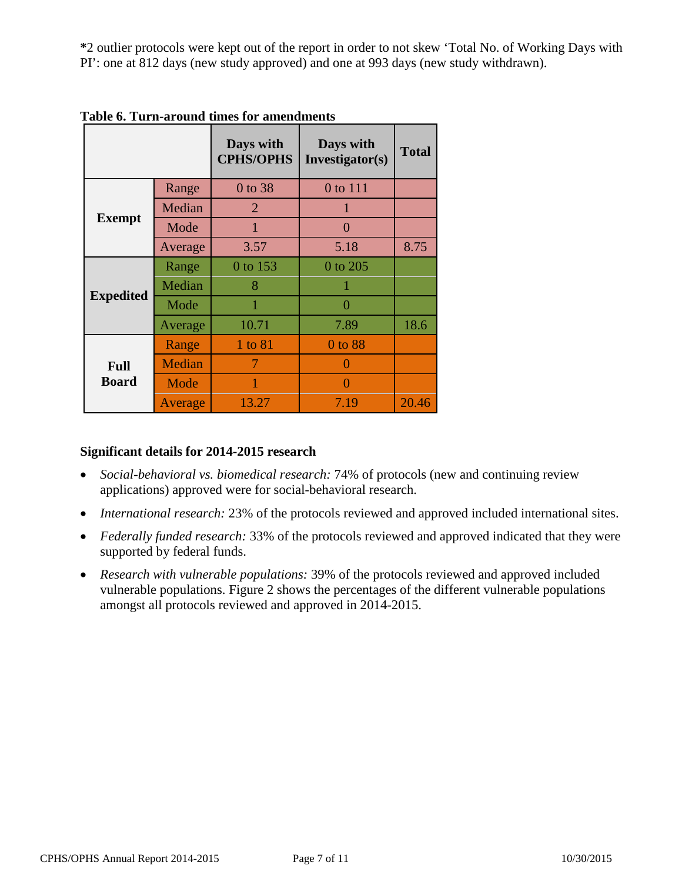**\***2 outlier protocols were kept out of the report in order to not skew 'Total No. of Working Days with PI': one at 812 days (new study approved) and one at 993 days (new study withdrawn).

|                             |         | Days with<br><b>CPHS/OPHS</b> | Days with<br>Investigator(s) | <b>Total</b> |
|-----------------------------|---------|-------------------------------|------------------------------|--------------|
|                             | Range   | 0 to 38                       | 0 to 111                     |              |
|                             | Median  | 2                             | 1                            |              |
| <b>Exempt</b>               | Mode    | 1                             | $\Omega$                     |              |
|                             | Average | 3.57                          | 5.18                         | 8.75         |
| <b>Expedited</b>            | Range   | 0 to 153                      | 0 to 205                     |              |
|                             | Median  | 8                             | 1                            |              |
|                             | Mode    | 1                             | 0                            |              |
|                             | Average | 10.71                         | 7.89                         | 18.6         |
|                             | Range   | 1 to 81                       | 0 to 88                      |              |
| <b>Full</b><br><b>Board</b> | Median  | 7                             | 0                            |              |
|                             | Mode    |                               | 0                            |              |
|                             | Average | 13.27                         | 7.19                         | 20.46        |

**Table 6. Turn-around times for amendments**

# **Significant details for 2014-2015 research**

- *Social-behavioral vs. biomedical research:* 74% of protocols (new and continuing review applications) approved were for social-behavioral research.
- *International research:* 23% of the protocols reviewed and approved included international sites.
- *Federally funded research:* 33% of the protocols reviewed and approved indicated that they were supported by federal funds.
- *Research with vulnerable populations:* 39% of the protocols reviewed and approved included vulnerable populations. Figure 2 shows the percentages of the different vulnerable populations amongst all protocols reviewed and approved in 2014-2015.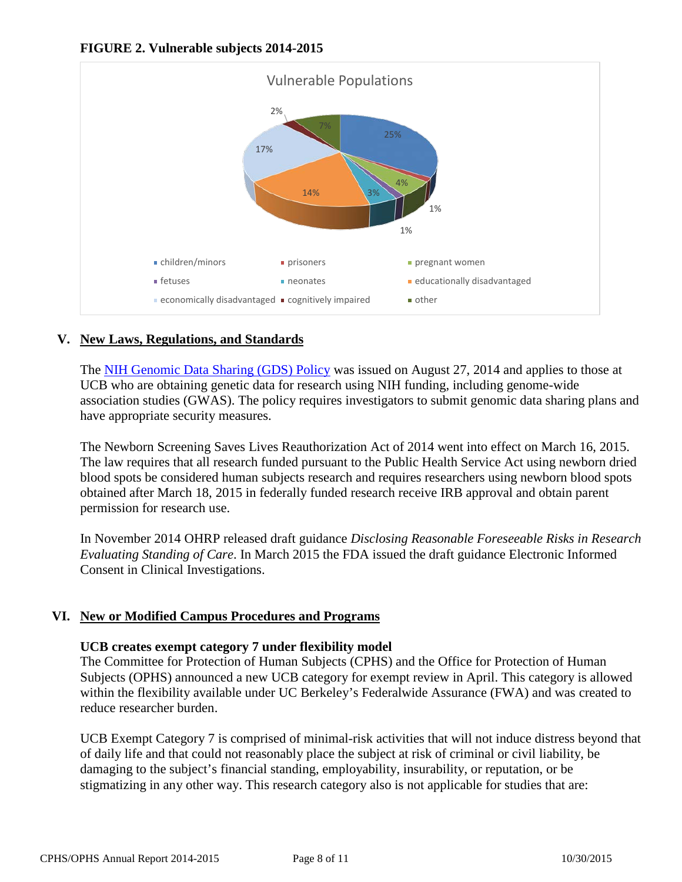



# **V. New Laws, Regulations, and Standards**

The [NIH Genomic Data Sharing \(GDS\) Policy](http://gds.nih.gov/03policy2.html) was issued on August 27, 2014 and applies to those at UCB who are obtaining genetic data for research using NIH funding, including genome-wide association studies (GWAS). The policy requires investigators to submit genomic data sharing plans and have appropriate security measures.

The Newborn Screening Saves Lives Reauthorization Act of 2014 went into effect on March 16, 2015. The law requires that all research funded pursuant to the Public Health Service Act using newborn dried blood spots be considered human subjects research and requires researchers using newborn blood spots obtained after March 18, 2015 in federally funded research receive IRB approval and obtain parent permission for research use.

In November 2014 OHRP released draft guidance *Disclosing Reasonable Foreseeable Risks in Research Evaluating Standing of Care*. In March 2015 the FDA issued the draft guidance Electronic Informed Consent in Clinical Investigations.

# **VI. New or Modified Campus Procedures and Programs**

#### **UCB creates exempt category 7 under flexibility model**

The Committee for Protection of Human Subjects (CPHS) and the Office for Protection of Human Subjects (OPHS) announced a new UCB category for exempt review in April. This category is allowed within the flexibility available under UC Berkeley's Federalwide Assurance (FWA) and was created to reduce researcher burden.

UCB Exempt Category 7 is comprised of minimal-risk activities that will not induce distress beyond that of daily life and that could not reasonably place the subject at risk of criminal or civil liability, be damaging to the subject's financial standing, employability, insurability, or reputation, or be stigmatizing in any other way. This research category also is not applicable for studies that are: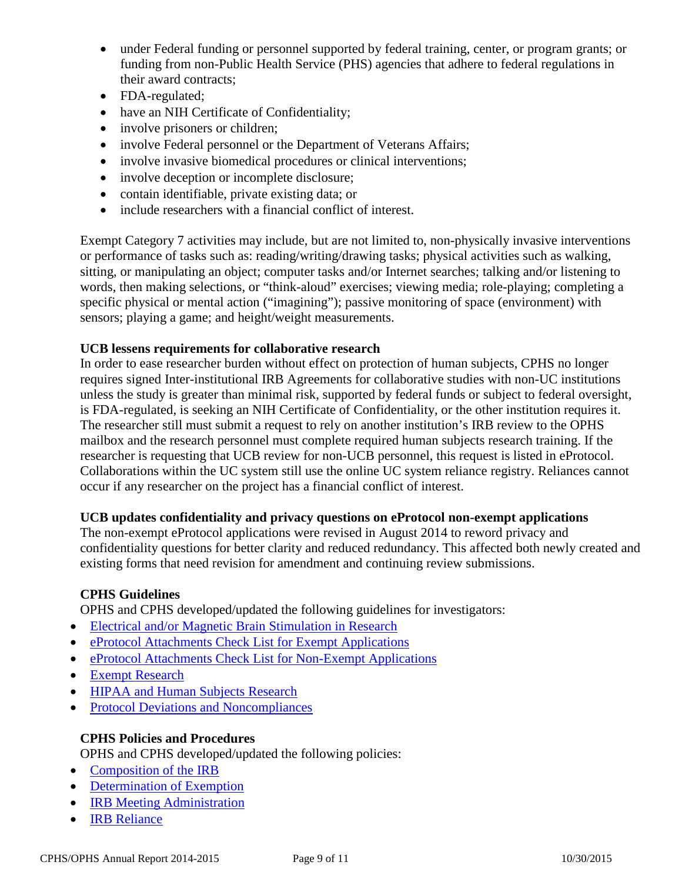- under Federal funding or personnel supported by federal training, center, or program grants; or funding from non-Public Health Service (PHS) agencies that adhere to federal regulations in their award contracts;
- FDA-regulated;
- have an NIH Certificate of Confidentiality;
- involve prisoners or children;
- involve Federal personnel or the Department of Veterans Affairs;
- involve invasive biomedical procedures or clinical interventions;
- involve deception or incomplete disclosure;
- contain identifiable, private existing data; or
- include researchers with a financial conflict of interest.

Exempt Category 7 activities may include, but are not limited to, non-physically invasive interventions or performance of tasks such as: reading/writing/drawing tasks; physical activities such as walking, sitting, or manipulating an object; computer tasks and/or Internet searches; talking and/or listening to words, then making selections, or "think-aloud" exercises; viewing media; role-playing; completing a specific physical or mental action ("imagining"); passive monitoring of space (environment) with sensors; playing a game; and height/weight measurements.

# **UCB lessens requirements for collaborative research**

In order to ease researcher burden without effect on protection of human subjects, CPHS no longer requires signed Inter-institutional IRB Agreements for collaborative studies with non-UC institutions unless the study is greater than minimal risk, supported by federal funds or subject to federal oversight, is FDA-regulated, is seeking an NIH Certificate of Confidentiality, or the other institution requires it. The researcher still must submit a request to rely on another institution's IRB review to the OPHS mailbox and the research personnel must complete required human subjects research training. If the researcher is requesting that UCB review for non-UCB personnel, this request is listed in eProtocol. Collaborations within the UC system still use the online UC system reliance registry. Reliances cannot occur if any researcher on the project has a financial conflict of interest.

# **UCB updates confidentiality and privacy questions on eProtocol non-exempt applications**

The non-exempt eProtocol applications were revised in August 2014 to reword privacy and confidentiality questions for better clarity and reduced redundancy. This affected both newly created and existing forms that need revision for amendment and continuing review submissions.

# **CPHS Guidelines**

OPHS and CPHS developed/updated the following guidelines for investigators:

- [Electrical and/or Magnetic Brain Stimulation in Research](http://cphs.berkeley.edu/datasecurity.pdf)
- [eProtocol Attachments Check List for Exempt Applications](http://cphs.berkeley.edu/datasecurity.pdf)
- [eProtocol Attachments Check List for Non-Exempt Applications](http://cphs.berkeley.edu/eprotocol_attachments_nonexempt.pdf)
- [Exempt Research](http://cphs.berkeley.edu/exempt.pdf)
- [HIPAA and Human Subjects Research](http://cphs.berkeley.edu/hipaa.pdf)
- [Protocol Deviations and Noncompliances](http://cphs.berkeley.edu/protocol_deviations_noncompliances.pdf)

# **CPHS Policies and Procedures**

OPHS and CPHS developed/updated the following policies:

- [Composition of the IRB](http://cphs.berkeley.edu/policies_procedures/or201.pdf)
- [Determination of Exemption](http://cphs.berkeley.edu/policies_procedures/fo302.pdf)
- **[IRB Meeting Administration](http://cphs.berkeley.edu/policies_procedures/fo303.pdf)**
- [IRB Reliance](http://cphs.berkeley.edu/policies_procedures/rr412.pdf)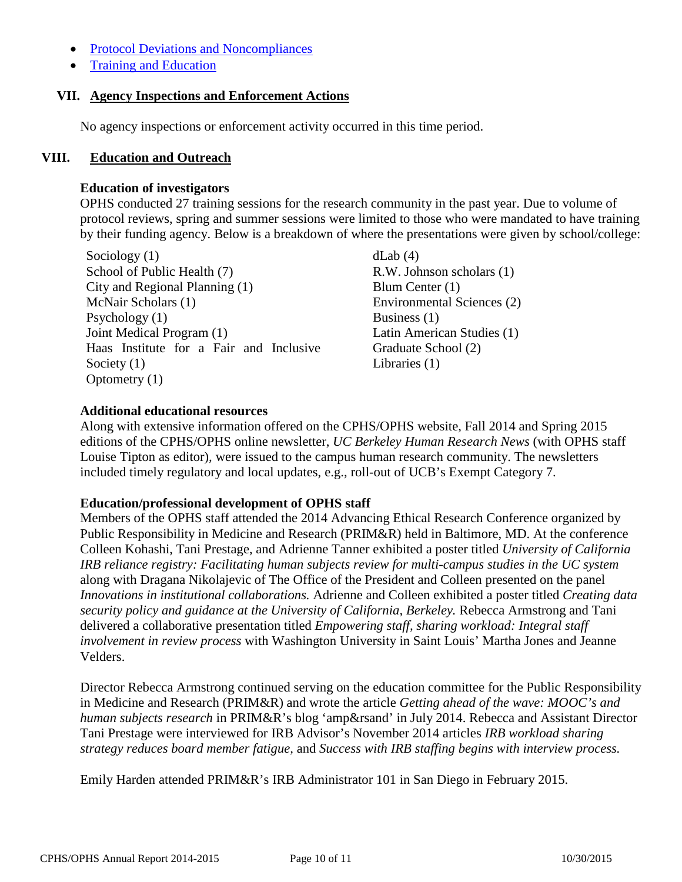- [Protocol Deviations and Noncompliances](http://cphs.berkeley.edu/policies_procedures/rr410.pdf)
- [Training and Education](http://cphs.berkeley.edu/policies_procedures/ga102.pdf)

#### **VII. Agency Inspections and Enforcement Actions**

No agency inspections or enforcement activity occurred in this time period.

#### **VIII. Education and Outreach**

#### **Education of investigators**

OPHS conducted 27 training sessions for the research community in the past year. Due to volume of protocol reviews, spring and summer sessions were limited to those who were mandated to have training by their funding agency. Below is a breakdown of where the presentations were given by school/college:

 $\text{Sociology (1)}$  dLab (4) School of Public Health (7) R.W. Johnson scholars (1) City and Regional Planning (1) Blum Center (1) McNair Scholars (1) Psychology (1) Joint Medical Program (1) Haas Institute for a Fair and Inclusive Society (1) Optometry (1)

Environmental Sciences (2) Business (1) Latin American Studies (1) Graduate School (2) Libraries (1)

# **Additional educational resources**

Along with extensive information offered on the CPHS/OPHS website, Fall 2014 and Spring 2015 editions of the CPHS/OPHS online newsletter, *UC Berkeley Human Research News* (with OPHS staff Louise Tipton as editor)*,* were issued to the campus human research community. The newsletters included timely regulatory and local updates, e.g., roll-out of UCB's Exempt Category 7.

# **Education/professional development of OPHS staff**

Members of the OPHS staff attended the 2014 Advancing Ethical Research Conference organized by Public Responsibility in Medicine and Research (PRIM&R) held in Baltimore, MD. At the conference Colleen Kohashi, Tani Prestage, and Adrienne Tanner exhibited a poster titled *University of California IRB reliance registry: Facilitating human subjects review for multi-campus studies in the UC system*  along with Dragana Nikolajevic of The Office of the President and Colleen presented on the panel *Innovations in institutional collaborations.* Adrienne and Colleen exhibited a poster titled *Creating data security policy and guidance at the University of California, Berkeley.* Rebecca Armstrong and Tani delivered a collaborative presentation titled *Empowering staff, sharing workload: Integral staff involvement in review process* with Washington University in Saint Louis' Martha Jones and Jeanne Velders.

Director Rebecca Armstrong continued serving on the education committee for the Public Responsibility in Medicine and Research (PRIM&R) and wrote the article *Getting ahead of the wave: MOOC's and human subjects research* in PRIM&R's blog 'amp&rsand' in July 2014. Rebecca and Assistant Director Tani Prestage were interviewed for IRB Advisor's November 2014 articles *IRB workload sharing strategy reduces board member fatigue,* and *Success with IRB staffing begins with interview process.* 

Emily Harden attended PRIM&R's IRB Administrator 101 in San Diego in February 2015.